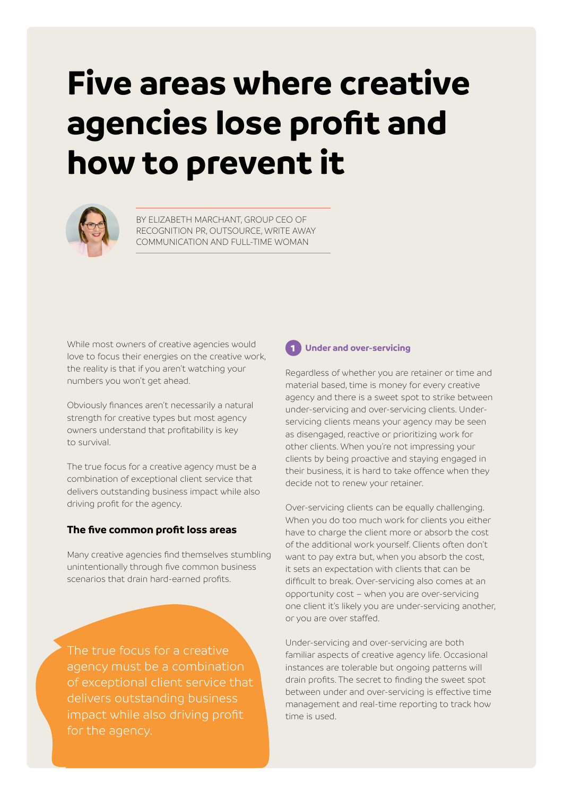# **Five areas where creative agencies lose profit and how to prevent it**



BY ELIZABETH MARCHANT, GROUP CEO OF RECOGNITION PR, OUTSOURCE, WRITE AWAY COMMUNICATION AND FULL-TIME WOMAN

While most owners of creative agencies would love to focus their energies on the creative work, the reality is that if you aren't watching your numbers you won't get ahead.

Obviously finances aren't necessarily a natural strength for creative types but most agency owners understand that profitability is key to survival.

The true focus for a creative agency must be a combination of exceptional client service that delivers outstanding business impact while also driving profit for the agency.

#### **The five common profit loss areas**

Many creative agencies find themselves stumbling unintentionally through five common business scenarios that drain hard-earned profits.

The true focus for a creative agency must be a combination of exceptional client service that delivers outstanding business impact while also driving profit for the agency.



#### 1 **Under and over-servicing**

Regardless of whether you are retainer or time and material based, time is money for every creative agency and there is a sweet spot to strike between under-servicing and over-servicing clients. Underservicing clients means your agency may be seen as disengaged, reactive or prioritizing work for other clients. When you're not impressing your clients by being proactive and staying engaged in their business, it is hard to take offence when they decide not to renew your retainer.

Over-servicing clients can be equally challenging. When you do too much work for clients you either have to charge the client more or absorb the cost of the additional work yourself. Clients often don't want to pay extra but, when you absorb the cost, it sets an expectation with clients that can be difficult to break. Over-servicing also comes at an opportunity cost – when you are over-servicing one client it's likely you are under-servicing another, or you are over staffed.

Under-servicing and over-servicing are both familiar aspects of creative agency life. Occasional instances are tolerable but ongoing patterns will drain profits. The secret to finding the sweet spot between under and over-servicing is effective time management and real-time reporting to track how time is used.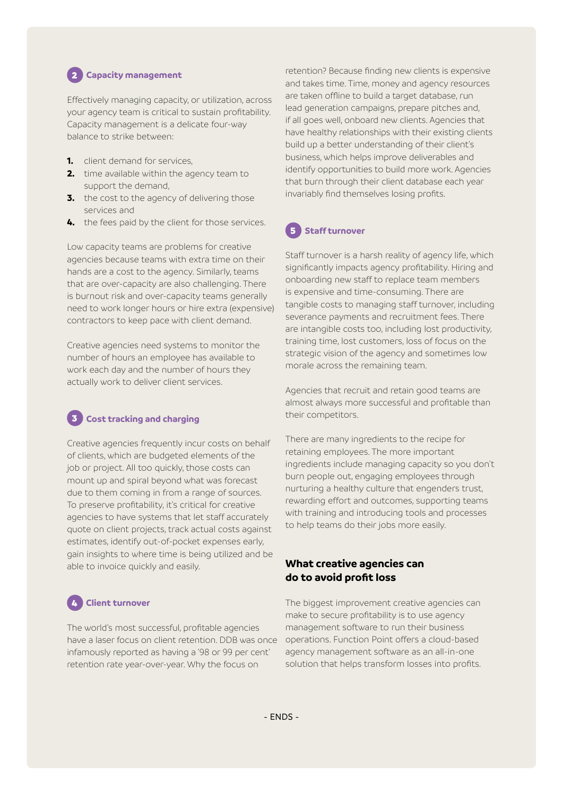# 2 **Capacity management**

Effectively managing capacity, or utilization, across your agency team is critical to sustain profitability. Capacity management is a delicate four-way balance to strike between:

- **1.** client demand for services,
- **2.** time available within the agency team to support the demand,
- **3.** the cost to the agency of delivering those services and
- **4.** the fees paid by the client for those services.

Low capacity teams are problems for creative agencies because teams with extra time on their hands are a cost to the agency. Similarly, teams that are over-capacity are also challenging. There is burnout risk and over-capacity teams generally need to work longer hours or hire extra (expensive) contractors to keep pace with client demand.

Creative agencies need systems to monitor the number of hours an employee has available to work each day and the number of hours they actually work to deliver client services.

## **Cost tracking and charging**

Creative agencies frequently incur costs on behalf of clients, which are budgeted elements of the job or project. All too quickly, those costs can mount up and spiral beyond what was forecast due to them coming in from a range of sources. To preserve profitability, it's critical for creative agencies to have systems that let staff accurately quote on client projects, track actual costs against estimates, identify out-of-pocket expenses early, gain insights to where time is being utilized and be able to invoice quickly and easily.

## 4 **Client turnover**

The world's most successful, profitable agencies have a laser focus on client retention. DDB was once infamously reported as having a ['98 or 99 per cent'](https://www.proposify.com/blog/agency-client-retention-strategy) retention rate year-over-year. Why the focus on

retention? Because finding new clients is expensive and takes time. Time, money and agency resources are taken offline to build a target database, run lead generation campaigns, prepare pitches and, if all goes well, onboard new clients. Agencies that have healthy relationships with their existing clients build up a better understanding of their client's business, which helps improve deliverables and identify opportunities to build more work. Agencies that burn through their client database each year invariably find themselves losing profits.

## 5 **Staff turnover**

Staff turnover is a harsh reality of agency life, which significantly impacts agency profitability. Hiring and onboarding new staff to replace team members is expensive and time-consuming. There are tangible costs to managing staff turnover, including severance payments and recruitment fees. There are intangible costs too, including lost productivity, training time, lost customers, loss of focus on the strategic vision of the agency and sometimes low morale across the remaining team.

Agencies that recruit and retain good teams are almost always more successful and profitable than their competitors.

There are many ingredients to the recipe for retaining employees. The more important ingredients include managing capacity so you don't burn people out, engaging employees through nurturing a healthy culture that engenders trust, rewarding effort and outcomes, supporting teams with training and introducing tools and processes to help teams do their jobs more easily.

#### **What creative agencies can do to avoid profit loss**

The biggest improvement creative agencies can make to secure profitability is to use agency management software to run their business operations. Function Point offers a cloud-based agency management software as an all-in-one solution that helps transform losses into profits.